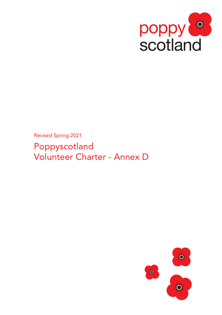

Revised Spring 2021

Poppyscotland Volunteer Charter - Annex D

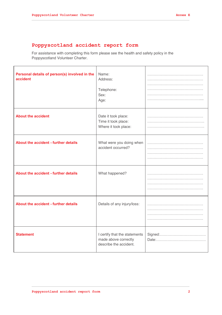## **Poppyscotland accident report form**

For assistance with completing this form please see the health and safety policy in the Poppyscotland Volunteer Charter.

| Personal details of person(s) involved in the<br>accident | Name:<br>Address:<br>Telephone:<br>Sex:<br>Age:                                 |  |
|-----------------------------------------------------------|---------------------------------------------------------------------------------|--|
| <b>About the accident</b>                                 | Date it took place:<br>Time it took place:<br>Where it took place:              |  |
| About the accident - further details                      | What were you doing when<br>accident occurred?                                  |  |
| About the accident - further details                      | What happened?                                                                  |  |
| About the accident - further details                      | Details of any injury/loss:                                                     |  |
| <b>Statement</b>                                          | I certify that the statements<br>made above correctly<br>describe the accident. |  |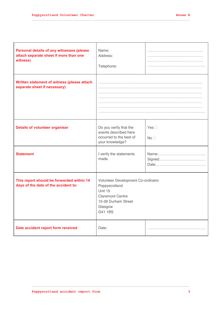$\overline{1}$ 

| Personal details of any witnesses (please<br>attach separate sheet if more than one<br>witness) | Name:<br>Address:<br>Telephone:                                                                                                        |                                  |
|-------------------------------------------------------------------------------------------------|----------------------------------------------------------------------------------------------------------------------------------------|----------------------------------|
| Written statement of witness (please attach<br>separate sheet if necessary)                     |                                                                                                                                        |                                  |
| <b>Details of volunteer organiser</b>                                                           | Do you verify that the<br>events described here<br>occurred to the best of<br>your knowledge?                                          | Yes $\square$<br>No <sub>1</sub> |
| <b>Statement</b>                                                                                | I verify the statements<br>made.                                                                                                       | Name:<br>Signed:<br>Date:        |
| This report should be forwarded within 14<br>days of the date of the accident to:               | Volunteer Development Co-ordinator<br>Poppyscotland<br>Unit 15<br><b>Claremont Centre</b><br>15-39 Durham Street<br>Glasgow<br>G41 1BS |                                  |
| Date accident report form received                                                              | Date:                                                                                                                                  |                                  |